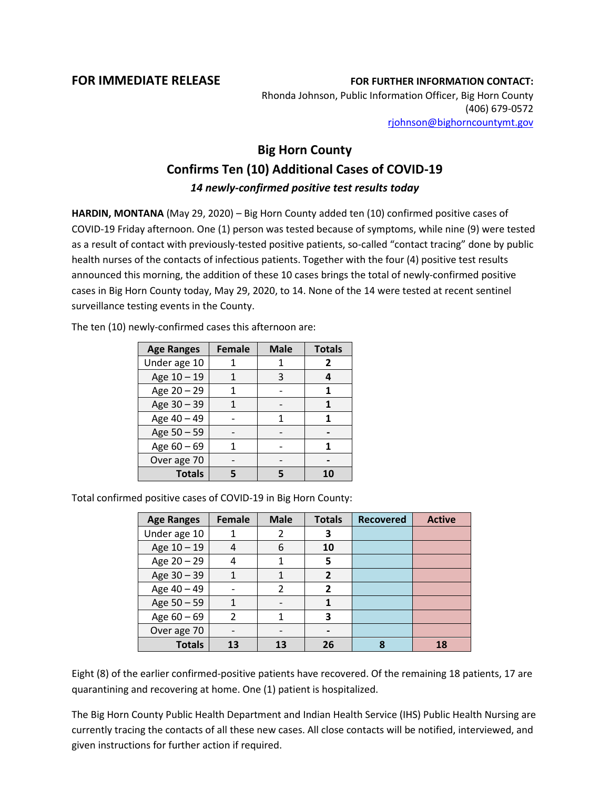**FOR IMMEDIATE RELEASE FOR FURTHER INFORMATION CONTACT:** Rhonda Johnson, Public Information Officer, Big Horn County (406) 679-0572 [rjohnson@bighorncountymt.gov](mailto:rjohnson@bighorncountymt.gov)

## **Big Horn County Confirms Ten (10) Additional Cases of COVID-19** *14 newly-confirmed positive test results today*

**HARDIN, MONTANA** (May 29, 2020) – Big Horn County added ten (10) confirmed positive cases of COVID-19 Friday afternoon. One (1) person was tested because of symptoms, while nine (9) were tested as a result of contact with previously-tested positive patients, so-called "contact tracing" done by public health nurses of the contacts of infectious patients. Together with the four (4) positive test results announced this morning, the addition of these 10 cases brings the total of newly-confirmed positive cases in Big Horn County today, May 29, 2020, to 14. None of the 14 were tested at recent sentinel surveillance testing events in the County.

> **Age Ranges Female Male Totals** Under age  $10$  | 1 | 1 | 2 Age  $10 - 19$  | 1 | 3 | 4 Age  $20 - 29$  | 1 | - | 1 Age  $30 - 39$  | 1 | - | 1 Age  $40 - 49$  | - | 1 | 1 Age 50 – 59 **- 1** - **1** -Age  $60 - 69$  | 1 | - | 1 Over age 70 | - | - | -**Totals 5 5 10**

The ten (10) newly-confirmed cases this afternoon are:

Total confirmed positive cases of COVID-19 in Big Horn County:

| <b>Age Ranges</b> | <b>Female</b>  | <b>Male</b>    | <b>Totals</b>            | <b>Recovered</b> | <b>Active</b> |
|-------------------|----------------|----------------|--------------------------|------------------|---------------|
| Under age 10      |                |                | 3                        |                  |               |
| Age 10 - 19       | 4              | 6              | 10                       |                  |               |
| Age 20 - 29       | 4              |                | 5                        |                  |               |
| Age $30 - 39$     |                |                | 2                        |                  |               |
| Age 40 - 49       |                | $\mathfrak{p}$ | $\overline{\phantom{a}}$ |                  |               |
| Age 50 - 59       | 1              |                |                          |                  |               |
| Age $60 - 69$     | $\mathfrak{p}$ |                | 3                        |                  |               |
| Over age 70       | -              |                |                          |                  |               |
| <b>Totals</b>     | 13             | 13             | 26                       | Ջ                | 18            |

Eight (8) of the earlier confirmed-positive patients have recovered. Of the remaining 18 patients, 17 are quarantining and recovering at home. One (1) patient is hospitalized.

The Big Horn County Public Health Department and Indian Health Service (IHS) Public Health Nursing are currently tracing the contacts of all these new cases. All close contacts will be notified, interviewed, and given instructions for further action if required.